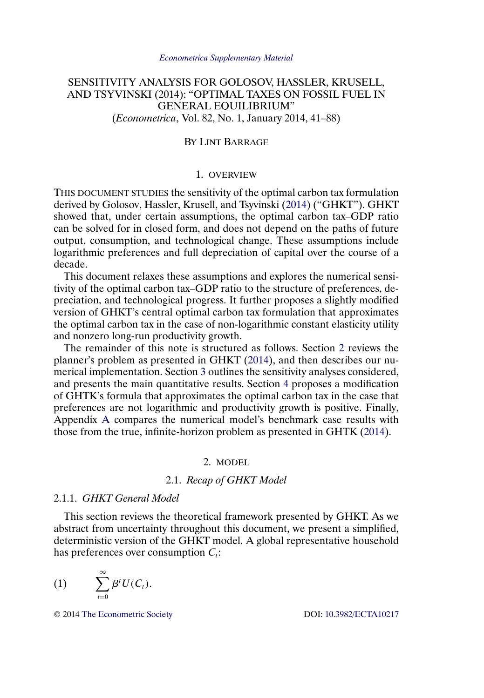# <span id="page-0-0"></span>SENSITIVITY ANALYSIS FOR GOLOSOV, HASSLER, KRUSELL, AND TSYVINSKI (2014): "OPTIMAL TAXES ON FOSSIL FUEL IN GENERAL EQUILIBRIUM" (*Econometrica*, Vol. 82, No. 1, January 2014, 41–88)

### BY LINT BARRAGE

#### 1. OVERVIEW

THIS DOCUMENT STUDIES the sensitivity of the optimal carbon tax formulation derived by Golosov, Hassler, Krusell, and Tsyvinski [\(2014\)](#page-28-0) ("GHKT"). GHKT showed that, under certain assumptions, the optimal carbon tax–GDP ratio can be solved for in closed form, and does not depend on the paths of future output, consumption, and technological change. These assumptions include logarithmic preferences and full depreciation of capital over the course of a decade.

This document relaxes these assumptions and explores the numerical sensitivity of the optimal carbon tax–GDP ratio to the structure of preferences, depreciation, and technological progress. It further proposes a slightly modified version of GHKT's central optimal carbon tax formulation that approximates the optimal carbon tax in the case of non-logarithmic constant elasticity utility and nonzero long-run productivity growth.

The remainder of this note is structured as follows. Section 2 reviews the planner's problem as presented in GHKT [\(2014\)](#page-28-0), and then describes our numerical implementation. Section [3](#page-9-0) outlines the sensitivity analyses considered, and presents the main quantitative results. Section [4](#page-18-0) proposes a modification of GHTK's formula that approximates the optimal carbon tax in the case that preferences are not logarithmic and productivity growth is positive. Finally, Appendix [A](#page-23-0) compares the numerical model's benchmark case results with those from the true, infinite-horizon problem as presented in GHTK [\(2014\)](#page-28-0).

# 2. MODEL

### 2.1. *Recap of GHKT Model*

#### 2.1.1. *GHKT General Model*

This section reviews the theoretical framework presented by GHKT. As we abstract from uncertainty throughout this document, we present a simplified, deterministic version of the GHKT model. A global representative household has preferences over consumption  $C_t$ :

$$
(1) \qquad \sum_{t=0}^{\infty} \beta^t U(C_t).
$$

© 2014 [The Econometric Society](http://www.econometricsociety.org/) DOI: [10.3982/ECTA10217](http://dx.doi.org/10.3982/ECTA10217)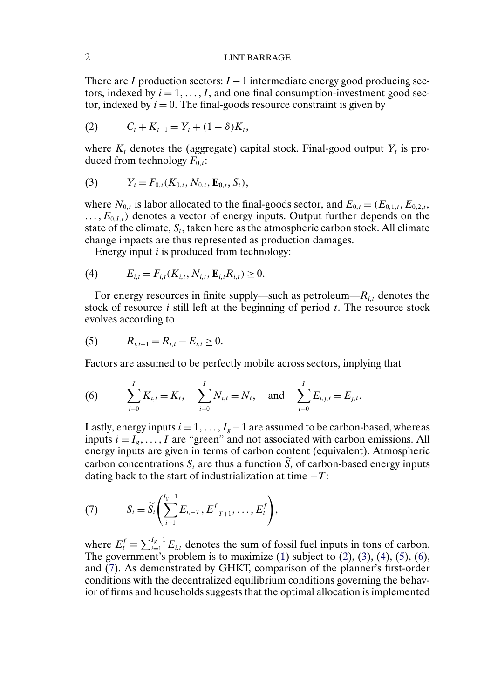<span id="page-1-0"></span>There are I production sectors:  $I - 1$  intermediate energy good producing sectors, indexed by  $i = 1, \ldots, I$ , and one final consumption-investment good sector, indexed by  $i = 0$ . The final-goods resource constraint is given by

(2) 
$$
C_t + K_{t+1} = Y_t + (1 - \delta)K_t,
$$

where  $K_t$  denotes the (aggregate) capital stock. Final-good output  $Y_t$  is produced from technology  $F_{0,t}$ :

(3) 
$$
Y_t = F_{0,t}(K_{0,t}, N_{0,t}, \mathbf{E}_{0,t}, S_t),
$$

where  $N_{0,t}$  is labor allocated to the final-goods sector, and  $E_{0,t} = (E_{0,1,t}, E_{0,2,t},$  $\dots, E_{0,I,t}$  denotes a vector of energy inputs. Output further depends on the state of the climate,  $S_t$ , taken here as the atmospheric carbon stock. All climate change impacts are thus represented as production damages.

Energy input  $i$  is produced from technology:

(4) 
$$
E_{i,t} = F_{i,t}(K_{i,t}, N_{i,t}, \mathbf{E}_{i,t} R_{i,t}) \geq 0.
$$

For energy resources in finite supply—such as petroleum— $R_{i,t}$  denotes the stock of resource i still left at the beginning of period  $t$ . The resource stock evolves according to

(5) 
$$
R_{i,t+1} = R_{i,t} - E_{i,t} \geq 0.
$$

Factors are assumed to be perfectly mobile across sectors, implying that

(6) 
$$
\sum_{i=0}^{I} K_{i,t} = K_t, \quad \sum_{i=0}^{I} N_{i,t} = N_t, \quad \text{and} \quad \sum_{i=0}^{I} E_{i,j,t} = E_{j,t}.
$$

Lastly, energy inputs  $i = 1, \ldots, I_g - 1$  are assumed to be carbon-based, whereas inputs  $i = I_g, \ldots, I$  are "green" and not associated with carbon emissions. All energy inputs are given in terms of carbon content (equivalent). Atmospheric carbon concentrations  $S_t$  are thus a function  $S_t$  of carbon-based energy inputs dating back to the start of industrialization at time  $-T$ :

(7) 
$$
S_t = \widetilde{S}_t \left( \sum_{i=1}^{I_g - 1} E_{i, -T}, E_{-T+1}^f, \ldots, E_t^f \right),
$$

where  $E_t^f \equiv \sum_{i=1}^{I_g-1} E_{i,t}$  denotes the sum of fossil fuel inputs in tons of carbon. The government's problem is to maximize  $(1)$  subject to  $(2)$ ,  $(3)$ ,  $(4)$ ,  $(5)$ ,  $(6)$ , and (7). As demonstrated by GHKT, comparison of the planner's first-order conditions with the decentralized equilibrium conditions governing the behavior of firms and households suggests that the optimal allocation is implemented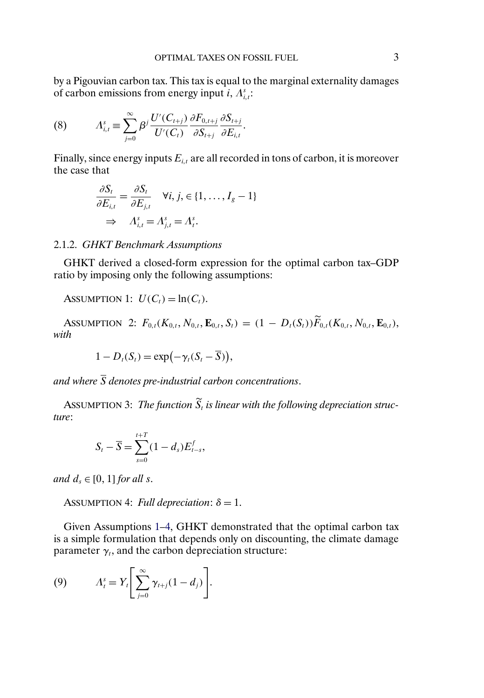<span id="page-2-0"></span>by a Pigouvian carbon tax. This tax is equal to the marginal externality damages of carbon emissions from energy input *i*,  $\Lambda_{i,t}^s$ :

(8) 
$$
\Lambda_{i,t}^s \equiv \sum_{j=0}^{\infty} \beta^j \frac{U'(C_{t+j})}{U'(C_t)} \frac{\partial F_{0,t+j}}{\partial S_{t+j}} \frac{\partial S_{t+j}}{\partial E_{i,t}}.
$$

Finally, since energy inputs  $E_{i,t}$  are all recorded in tons of carbon, it is moreover the case that

$$
\frac{\partial S_t}{\partial E_{i,t}} = \frac{\partial S_t}{\partial E_{j,t}} \quad \forall i, j, \in \{1, \dots, I_g - 1\}
$$
\n
$$
\Rightarrow \quad \Lambda_{i,t}^s = \Lambda_{j,t}^s = \Lambda_t^s.
$$

#### 2.1.2. *GHKT Benchmark Assumptions*

GHKT derived a closed-form expression for the optimal carbon tax–GDP ratio by imposing only the following assumptions:

ASSUMPTION 1:  $U(C_t) = \ln(C_t)$ .

ASSUMPTION 2:  $F_{0,t}(K_{0,t}, N_{0,t}, \mathbf{E}_{0,t}, S_t) = (1 - D_t(S_t)) \overline{F}_{0,t}(K_{0,t}, N_{0,t}, \mathbf{E}_{0,t}),$ *with*

$$
1-D_t(S_t)=\exp\bigl(-\gamma_t(S_t-\overline{S})\bigr),
$$

and where  $\overline{S}$  denotes pre-industrial carbon concentrations.

AssUMPTION 3: The function  $S_t$  is linear with the following depreciation struc*ture*:

$$
S_t - \overline{S} = \sum_{s=0}^{t+T} (1 - d_s) E_{t-s}^f,
$$

*and*  $d_s \in [0, 1]$  *for all s.* 

ASSUMPTION 4: *Full depreciation*:  $\delta = 1$ .

Given Assumptions 1–4, GHKT demonstrated that the optimal carbon tax is a simple formulation that depends only on discounting, the climate damage parameter  $\gamma_t$ , and the carbon depreciation structure:

(9) 
$$
\Lambda_t^s = Y_t \left[ \sum_{j=0}^{\infty} \gamma_{t+j} (1 - d_j) \right].
$$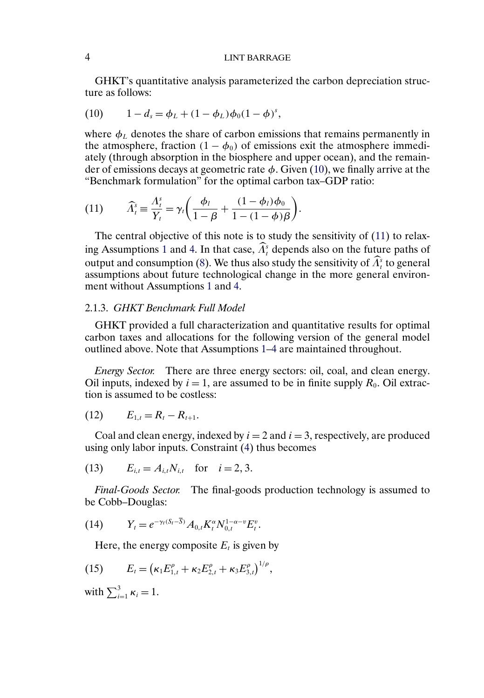## <span id="page-3-0"></span>4 LINT BARRAGE

GHKT's quantitative analysis parameterized the carbon depreciation structure as follows:

(10) 
$$
1-d_s = \phi_L + (1-\phi_L)\phi_0(1-\phi)^s,
$$

where  $\phi_L$  denotes the share of carbon emissions that remains permanently in the atmosphere, fraction  $(1 - \phi_0)$  of emissions exit the atmosphere immediately (through absorption in the biosphere and upper ocean), and the remainder of emissions decays at geometric rate  $\phi$ . Given (10), we finally arrive at the "Benchmark formulation" for the optimal carbon tax–GDP ratio:

(11) 
$$
\widehat{\Lambda}_t^s \equiv \frac{\Lambda_t^s}{Y_t} = \gamma_t \bigg( \frac{\phi_l}{1-\beta} + \frac{(1-\phi_l)\phi_0}{1-(1-\phi)\beta} \bigg).
$$

The central objective of this note is to study the sensitivity of (11) to relax-ing Assumptions [1](#page-2-0) and [4.](#page-2-0) In that case,  $\Lambda_t^s$  depends also on the future paths of output and consumption [\(8\)](#page-2-0). We thus also study the sensitivity of  $\Lambda_t^s$  to general assumptions about future technological change in the more general environment without Assumptions [1](#page-2-0) and [4.](#page-2-0)

# 2.1.3. *GHKT Benchmark Full Model*

GHKT provided a full characterization and quantitative results for optimal carbon taxes and allocations for the following version of the general model outlined above. Note that Assumptions [1–4](#page-2-0) are maintained throughout.

*Energy Sector.* There are three energy sectors: oil, coal, and clean energy. Oil inputs, indexed by  $i = 1$ , are assumed to be in finite supply  $R_0$ . Oil extraction is assumed to be costless:

$$
(12) \t E_{1,t} = R_t - R_{t+1}.
$$

Coal and clean energy, indexed by  $i = 2$  and  $i = 3$ , respectively, are produced using only labor inputs. Constraint [\(4\)](#page-1-0) thus becomes

(13) 
$$
E_{i,t} = A_{i,t} N_{i,t}
$$
 for  $i = 2, 3$ .

*Final-Goods Sector.* The final-goods production technology is assumed to be Cobb–Douglas:

(14) 
$$
Y_t = e^{-\gamma_t (S_t - \overline{S})} A_{0,t} K_t^{\alpha} N_{0,t}^{1-\alpha-\nu} E_t^{\nu}.
$$

Here, the energy composite  $E_t$  is given by

(15) 
$$
E_t = (\kappa_1 E_{1,t}^{\rho} + \kappa_2 E_{2,t}^{\rho} + \kappa_3 E_{3,t}^{\rho})^{1/\rho},
$$

with  $\sum_{i=1}^{3} \kappa_i = 1$ .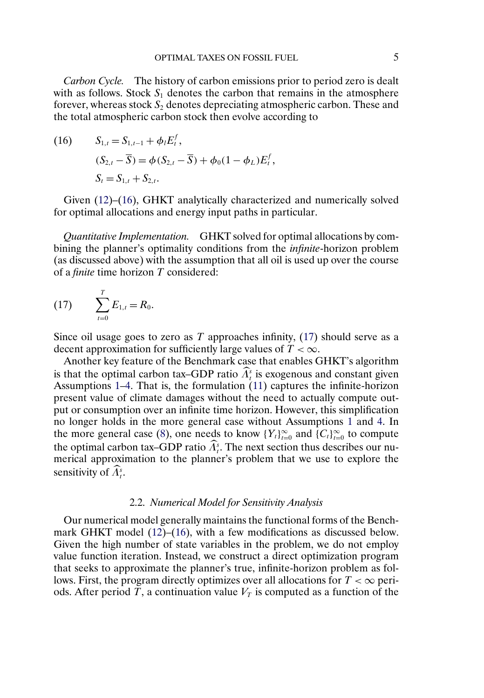<span id="page-4-0"></span>*Carbon Cycle.* The history of carbon emissions prior to period zero is dealt with as follows. Stock  $S_1$  denotes the carbon that remains in the atmosphere forever, whereas stock  $S_2$  denotes depreciating atmospheric carbon. These and the total atmospheric carbon stock then evolve according to

(16) 
$$
S_{1,t} = S_{1,t-1} + \phi_t E_t^f,
$$

$$
(S_{2,t} - \overline{S}) = \phi(S_{2,t} - \overline{S}) + \phi_0 (1 - \phi_L) E_t^f,
$$

$$
S_t = S_{1,t} + S_{2,t}.
$$

Given [\(12\)](#page-3-0)–(16), GHKT analytically characterized and numerically solved for optimal allocations and energy input paths in particular.

*Quantitative Implementation.* GHKT solved for optimal allocations by combining the planner's optimality conditions from the *infinite*-horizon problem (as discussed above) with the assumption that all oil is used up over the course of a *finite* time horizon T considered:

(17) 
$$
\sum_{t=0}^{T} E_{1,t} = R_0.
$$

Since oil usage goes to zero as  $T$  approaches infinity, (17) should serve as a decent approximation for sufficiently large values of  $T < \infty$ .

Another key feature of the Benchmark case that enables GHKT's algorithm is that the optimal carbon tax–GDP ratio  $\Lambda_t^s$  is exogenous and constant given Assumptions [1–4.](#page-2-0) That is, the formulation [\(11\)](#page-3-0) captures the infinite-horizon present value of climate damages without the need to actually compute output or consumption over an infinite time horizon. However, this simplification no longer holds in the more general case without Assumptions [1](#page-2-0) and [4.](#page-2-0) In the more general case [\(8\)](#page-2-0), one needs to know  ${Y_t}_{t=0}^{\infty}$  and  ${C_t}_{t=0}^{\infty}$  to compute the optimal carbon tax–GDP ratio  $A_t^s$ . The next section thus describes our numerical approximation to the planner's problem that we use to explore the sensitivity of  $\Lambda_t^s$ .

#### 2.2. *Numerical Model for Sensitivity Analysis*

Our numerical model generally maintains the functional forms of the Benchmark GHKT model [\(12\)](#page-3-0)–(16), with a few modifications as discussed below. Given the high number of state variables in the problem, we do not employ value function iteration. Instead, we construct a direct optimization program that seeks to approximate the planner's true, infinite-horizon problem as follows. First, the program directly optimizes over all allocations for  $T < \infty$  periods. After period T, a continuation value  $V_T$  is computed as a function of the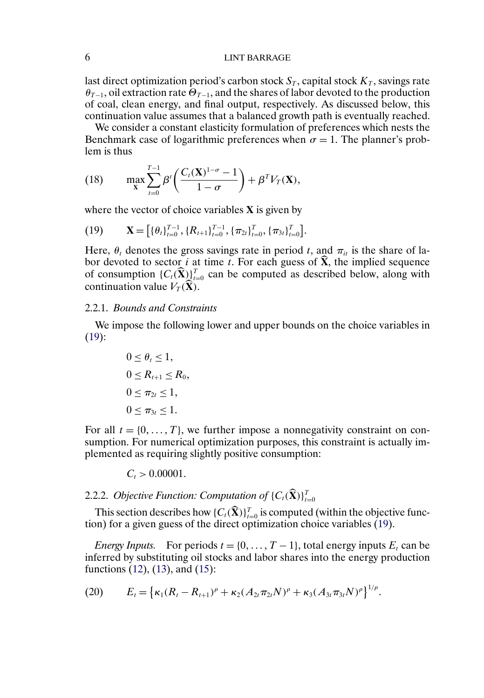### <span id="page-5-0"></span>6 LINT BARRAGE

last direct optimization period's carbon stock  $S_T$ , capital stock  $K_T$ , savings rate  $\theta_{T-1}$ , oil extraction rate  $\Theta_{T-1}$ , and the shares of labor devoted to the production of coal, clean energy, and final output, respectively. As discussed below, this continuation value assumes that a balanced growth path is eventually reached.

We consider a constant elasticity formulation of preferences which nests the Benchmark case of logarithmic preferences when  $\sigma = 1$ . The planner's problem is thus

(18) 
$$
\max_{\mathbf{X}} \sum_{t=0}^{T-1} \beta^t \left( \frac{C_t(\mathbf{X})^{1-\sigma} - 1}{1-\sigma} \right) + \beta^T V_T(\mathbf{X}),
$$

where the vector of choice variables **X** is given by

(19) 
$$
\mathbf{X} = \left[ \{ \theta_t \}_{t=0}^{T-1}, \{ R_{t+1} \}_{t=0}^{T-1}, \{ \pi_{2t} \}_{t=0}^{T}, \{ \pi_{3t} \}_{t=0}^{T} \right].
$$

Here,  $\theta_t$  denotes the gross savings rate in period t, and  $\pi_{it}$  is the share of labor devoted to sector *i* at time *t*. For each guess of  $\hat{\mathbf{X}}$ , the implied sequence of consumption  $\{C_t(\hat{\textbf{X}})\}_{t=0}^T$  can be computed as described below, along with continuation value  $V_T(\hat{\mathbf{X}})$ .

### 2.2.1. *Bounds and Constraints*

We impose the following lower and upper bounds on the choice variables in  $(19)$ :

$$
0 \leq \theta_t \leq 1,
$$
  
\n
$$
0 \leq R_{t+1} \leq R_0,
$$
  
\n
$$
0 \leq \pi_{2t} \leq 1,
$$
  
\n
$$
0 \leq \pi_{3t} \leq 1.
$$

For all  $t = \{0, ..., T\}$ , we further impose a nonnegativity constraint on consumption. For numerical optimization purposes, this constraint is actually implemented as requiring slightly positive consumption:

 $C_t > 0.00001$ .

# 2.2.2. *Objective Function: Computation of*  $\{C_t(\widetilde{\textbf{X}})\}_{t=0}^T$

This section describes how  $\{C_t(\mathbf{\hat{X}})\}_{t=0}^T$  is computed (within the objective function) for a given guess of the direct optimization choice variables (19).

*Energy Inputs.* For periods  $t = \{0, \ldots, T - 1\}$ , total energy inputs  $E_t$  can be inferred by substituting oil stocks and labor shares into the energy production functions [\(12\)](#page-3-0), [\(13\)](#page-3-0), and [\(15\)](#page-3-0):

(20) 
$$
E_t = \left\{ \kappa_1 (R_t - R_{t+1})^{\rho} + \kappa_2 (A_{2t} \pi_{2t} N)^{\rho} + \kappa_3 (A_{3t} \pi_{3t} N)^{\rho} \right\}^{1/\rho}.
$$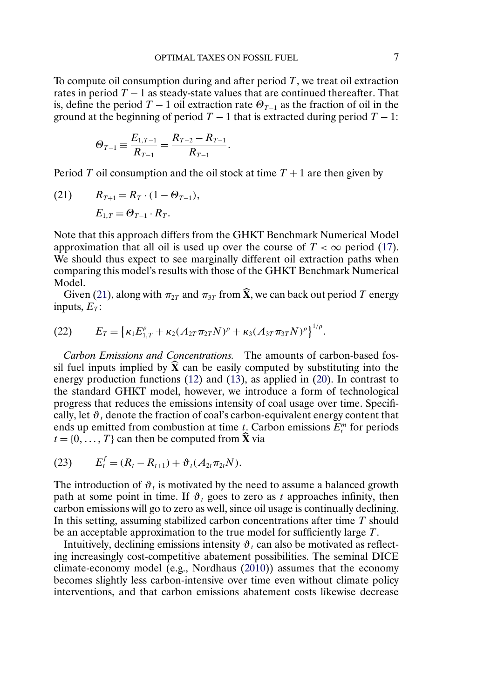<span id="page-6-0"></span>To compute oil consumption during and after period  $T$ , we treat oil extraction rates in period  $T - 1$  as steady-state values that are continued thereafter. That is, define the period  $T - 1$  oil extraction rate  $\Theta_{T-1}$  as the fraction of oil in the ground at the beginning of period  $T - 1$  that is extracted during period  $T - 1$ :

$$
\Theta_{T-1} \equiv \frac{E_{1,T-1}}{R_{T-1}} = \frac{R_{T-2} - R_{T-1}}{R_{T-1}}.
$$

Period T oil consumption and the oil stock at time  $T + 1$  are then given by

(21) 
$$
R_{T+1} = R_T \cdot (1 - \Theta_{T-1}),
$$
  
 $E_{1,T} = \Theta_{T-1} \cdot R_T.$ 

Note that this approach differs from the GHKT Benchmark Numerical Model approximation that all oil is used up over the course of  $T < \infty$  period [\(17\)](#page-4-0). We should thus expect to see marginally different oil extraction paths when comparing this model's results with those of the GHKT Benchmark Numerical Model.

Given (21), along with  $\pi_{2T}$  and  $\pi_{3T}$  from  $\hat{\mathbf{X}}$ , we can back out period T energy inputs,  $E_T$ :

(22) 
$$
E_T = \left\{ \kappa_1 E_{1,T}^{\rho} + \kappa_2 (A_{2T} \pi_{2T} N)^{\rho} + \kappa_3 (A_{3T} \pi_{3T} N)^{\rho} \right\}^{1/\rho}.
$$

*Carbon Emissions and Concentrations.* The amounts of carbon-based fossil fuel inputs implied by  $\hat{\mathbf{X}}$  can be easily computed by substituting into the energy production functions [\(12\)](#page-3-0) and [\(13\)](#page-3-0), as applied in [\(20\)](#page-5-0). In contrast to the standard GHKT model, however, we introduce a form of technological progress that reduces the emissions intensity of coal usage over time. Specifically, let  $\vartheta_t$  denote the fraction of coal's carbon-equivalent energy content that ends up emitted from combustion at time  $t_$ . Carbon emissions  $E_t^m$  for periods  $t = \{0, \ldots, T\}$  can then be computed from  $\hat{\mathbf{X}}$  via

(23) 
$$
E_t^f = (R_t - R_{t+1}) + \vartheta_t (A_{2t} \pi_{2t} N).
$$

The introduction of  $\vartheta_t$  is motivated by the need to assume a balanced growth path at some point in time. If  $\vartheta_t$  goes to zero as t approaches infinity, then carbon emissions will go to zero as well, since oil usage is continually declining. In this setting, assuming stabilized carbon concentrations after time  $T$  should be an acceptable approximation to the true model for sufficiently large T.

Intuitively, declining emissions intensity  $\vartheta_t$  can also be motivated as reflecting increasingly cost-competitive abatement possibilities. The seminal DICE climate-economy model (e.g., Nordhaus [\(2010\)](#page-28-0)) assumes that the economy becomes slightly less carbon-intensive over time even without climate policy interventions, and that carbon emissions abatement costs likewise decrease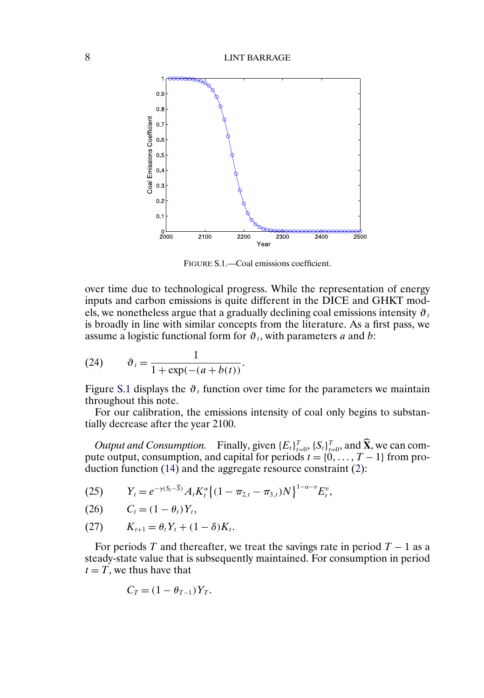<span id="page-7-0"></span>

FIGURE S.1.—Coal emissions coefficient.

over time due to technological progress. While the representation of energy inputs and carbon emissions is quite different in the DICE and GHKT models, we nonetheless argue that a gradually declining coal emissions intensity  $\vartheta_t$ is broadly in line with similar concepts from the literature. As a first pass, we assume a logistic functional form for  $\vartheta_t$ , with parameters a and b:

(24) 
$$
\vartheta_t = \frac{1}{1 + \exp(-(a + b(t))}.
$$

Figure S.1 displays the  $\vartheta_t$  function over time for the parameters we maintain throughout this note.

For our calibration, the emissions intensity of coal only begins to substantially decrease after the year 2100.

*Output and Consumption.* Finally, given  $\{E_t\}_{t=0}^T$ ,  $\{S_t\}_{t=0}^T$ , and  $\hat{\mathbf{X}}$ , we can compute output, consumption, and capital for periods  $t = \{0, \ldots, T-1\}$  from production function [\(14\)](#page-3-0) and the aggregate resource constraint [\(2\)](#page-1-0):

(25) 
$$
Y_t = e^{-\gamma (S_t - \overline{S})} A_t K_t^{\alpha} \left\{ (1 - \pi_{2,t} - \pi_{3,t}) N \right\}^{1 - \alpha - \nu} E_t^{\nu},
$$

$$
(26) \qquad C_t = (1 - \theta_t)Y_t,
$$

(27) 
$$
K_{t+1} = \theta_t Y_t + (1 - \delta) K_t.
$$

For periods T and thereafter, we treat the savings rate in period  $T - 1$  as a steady-state value that is subsequently maintained. For consumption in period  $t = T$ , we thus have that

$$
C_T = (1 - \theta_{T-1})Y_T.
$$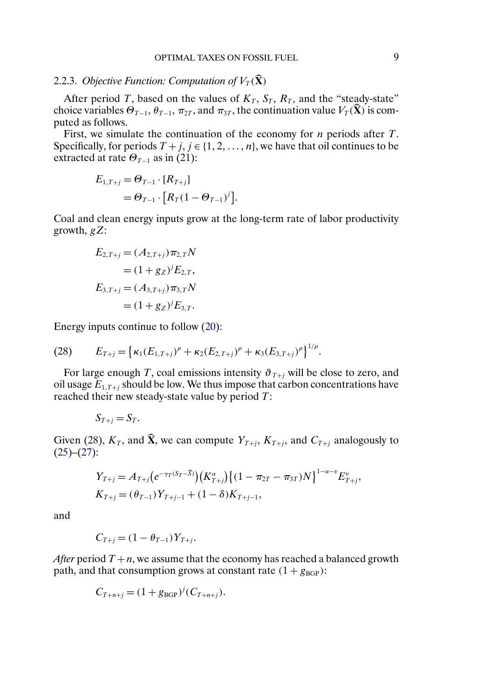### 2.2.3. *Objective Function: Computation of*  $V_T(\hat{\mathbf{X}})$

After period T, based on the values of  $K_T$ ,  $S_T$ ,  $R_T$ , and the "steady-state" choice variables  $\Theta_{T-1}$ ,  $\theta_{T-1}$ ,  $\pi_{2T}$ , and  $\pi_{3T}$ , the continuation value  $V_T(\hat{\mathbf{X}})$  is computed as follows.

First, we simulate the continuation of the economy for  $n$  periods after  $T$ . Specifically, for periods  $T + j$ ,  $j \in \{1, 2, ..., n\}$ , we have that oil continues to be extracted at rate  $\Theta_{T-1}$  as in [\(21\)](#page-6-0):

$$
E_{1,T+j} = \Theta_{T-1} \cdot [R_{T+j}]
$$
  
=  $\Theta_{T-1} \cdot [R_T (1 - \Theta_{T-1})^j].$ 

Coal and clean energy inputs grow at the long-term rate of labor productivity growth,  $gZ$ :

$$
E_{2,T+j} = (A_{2,T+j})\pi_{2,T}N
$$
  
=  $(1+g_Z)^j E_{2,T}$ ,  

$$
E_{3,T+j} = (A_{3,T+j})\pi_{3,T}N
$$
  
=  $(1+g_Z)^j E_{3,T}$ .

Energy inputs continue to follow [\(20\)](#page-5-0):

(28) 
$$
E_{T+j} = \left\{ \kappa_1(E_{1,T+j})^{\rho} + \kappa_2(E_{2,T+j})^{\rho} + \kappa_3(E_{3,T+j})^{\rho} \right\}^{1/\rho}.
$$

For large enough T, coal emissions intensity  $\vartheta_{T+i}$  will be close to zero, and oil usage  $E_{1,T+i}$  should be low. We thus impose that carbon concentrations have reached their new steady-state value by period  $T$ :

$$
S_{T+j}=S_T.
$$

Given (28),  $K_T$ , and  $\hat{\mathbf{X}}$ , we can compute  $Y_{T+i}$ ,  $K_{T+i}$ , and  $C_{T+i}$  analogously to  $(25)-(27)$  $(25)-(27)$  $(25)-(27)$ :

$$
Y_{T+j} = A_{T+j} \left( e^{-\gamma_T (S_T - \overline{S})} \right) \left( K_{T+j}^{\alpha} \right) \left\{ (1 - \pi_{2T} - \pi_{3T}) N \right\}^{1 - \alpha - \upsilon} E_{T+j}^{\upsilon},
$$
  

$$
K_{T+j} = (\theta_{T-1}) Y_{T+j-1} + (1 - \delta) K_{T+j-1},
$$

and

$$
C_{T+j} = (1 - \theta_{T-1})Y_{T+j}.
$$

*After* period  $T + n$ , we assume that the economy has reached a balanced growth path, and that consumption grows at constant rate  $(1 + g_{\text{BGP}})$ :

$$
C_{T+n+j} = (1 + g_{\text{BGP}})^{j} (C_{T+n+j}).
$$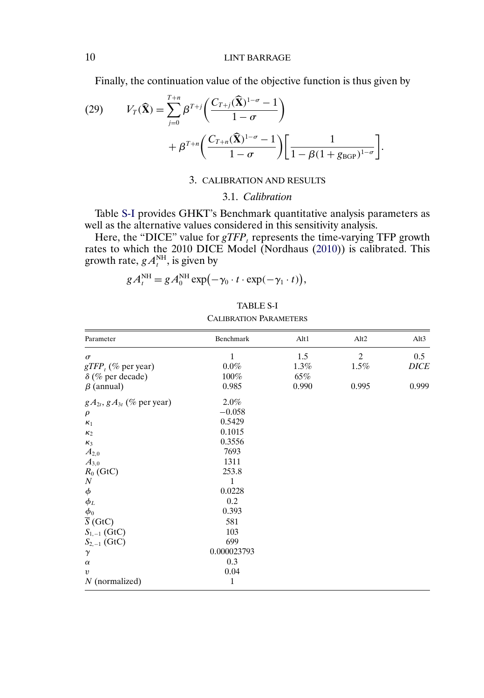<span id="page-9-0"></span>Finally, the continuation value of the objective function is thus given by

(29) 
$$
V_T(\widehat{\mathbf{X}}) = \sum_{j=0}^{T+n} \beta^{T+j} \left( \frac{C_{T+j}(\widehat{\mathbf{X}})^{1-\sigma} - 1}{1 - \sigma} \right) + \beta^{T+n} \left( \frac{C_{T+n}(\widehat{\mathbf{X}})^{1-\sigma} - 1}{1 - \sigma} \right) \left[ \frac{1}{1 - \beta (1 + g_{\text{BGP}})^{1-\sigma}} \right].
$$

## 3. CALIBRATION AND RESULTS

### 3.1. *Calibration*

Table S-I provides GHKT's Benchmark quantitative analysis parameters as well as the alternative values considered in this sensitivity analysis.

Here, the "DICE" value for  $gTFP_t$  represents the time-varying TFP growth rates to which the 2010 DICE Model (Nordhaus [\(2010\)](#page-28-0)) is calibrated. This growth rate,  $gA_t^{\text{NH}}$ , is given by

$$
g A_t^{\text{NH}} = g A_0^{\text{NH}} \exp(-\gamma_0 \cdot t \cdot \exp(-\gamma_1 \cdot t)),
$$

| <b>TABLE S-I</b>              |
|-------------------------------|
| <b>CALIBRATION PARAMETERS</b> |

| Parameter                           | Benchmark   | Alt1  | Alt2           | Alt3        |
|-------------------------------------|-------------|-------|----------------|-------------|
| $\sigma$                            | 1           | 1.5   | $\overline{c}$ | 0.5         |
| $gTFP_t$ (% per year)               | $0.0\%$     | 1.3%  | 1.5%           | <b>DICE</b> |
| $\delta$ (% per decade)             | 100%        | 65%   |                |             |
| $\beta$ (annual)                    | 0.985       | 0.990 | 0.995          | 0.999       |
| $gA_{2t}$ , $gA_{3t}$ (% per year)  | $2.0\%$     |       |                |             |
| $\rho$                              | $-0.058$    |       |                |             |
| $\kappa_1$                          | 0.5429      |       |                |             |
| $\kappa_2$                          | 0.1015      |       |                |             |
| $\kappa_3$                          | 0.3556      |       |                |             |
| $A_{2,0}$                           | 7693        |       |                |             |
| $A_{3,0}$                           | 1311        |       |                |             |
| $R_0$ (GtC)                         | 253.8       |       |                |             |
| $\boldsymbol{N}$                    | 1           |       |                |             |
| $\phi$                              | 0.0228      |       |                |             |
| $\phi_{L}$                          | 0.2         |       |                |             |
|                                     | 0.393       |       |                |             |
| $\frac{\phi_0}{\overline{S}}$ (GtC) | 581         |       |                |             |
| $S_{1,-1}$ (GtC)                    | 103         |       |                |             |
| $S_{2,-1}$ (GtC)                    | 699         |       |                |             |
| $\gamma$                            | 0.000023793 |       |                |             |
| $\alpha$                            | 0.3         |       |                |             |
| $\upsilon$                          | 0.04        |       |                |             |
| $N$ (normalized)                    | 1           |       |                |             |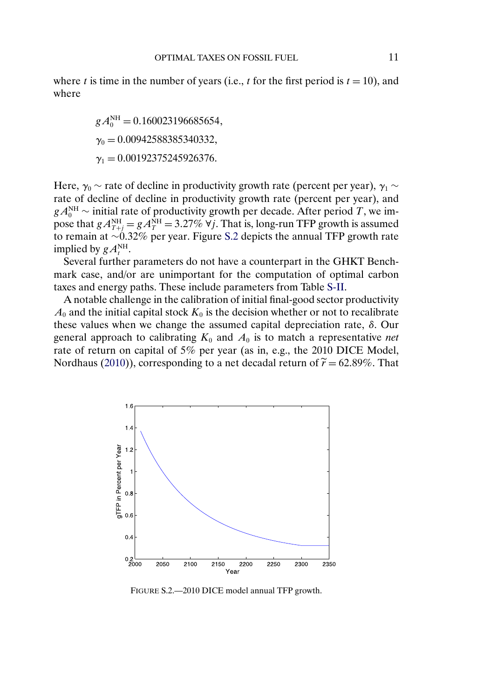<span id="page-10-0"></span>where t is time in the number of years (i.e., t for the first period is  $t = 10$ ), and where

> $gA_0^{\text{NH}} = 0.160023196685654,$  $\gamma_0 = 0.00942588385340332,$  $\gamma_1 = 0.00192375245926376.$

Here,  $\gamma_0 \sim$  rate of decline in productivity growth rate (percent per year),  $\gamma_1 \sim$ rate of decline of decline in productivity growth rate (percent per year), and  $gA_0^{\text{NH}}$   $\sim$  initial rate of productivity growth per decade. After period T, we impose that  $gA_{T+j}^{\text{NH}} = gA_T^{\text{NH}} = 3.27\%$   $\forall j$ . That is, long-run TFP growth is assumed to remain at ∼032% per year. Figure S.2 depicts the annual TFP growth rate implied by  $gA_t^{\text{NH}}$ .

Several further parameters do not have a counterpart in the GHKT Benchmark case, and/or are unimportant for the computation of optimal carbon taxes and energy paths. These include parameters from Table [S-II.](#page-11-0)

A notable challenge in the calibration of initial final-good sector productivity  $A_0$  and the initial capital stock  $K_0$  is the decision whether or not to recalibrate these values when we change the assumed capital depreciation rate,  $δ$ . Our general approach to calibrating  $K_0$  and  $A_0$  is to match a representative *net* rate of return on capital of 5% per year (as in, e.g., the 2010 DICE Model, Nordhaus [\(2010\)](#page-28-0)), corresponding to a net decadal return of  $\tilde{r} = 62.89\%$ . That



FIGURE S.2.—2010 DICE model annual TFP growth.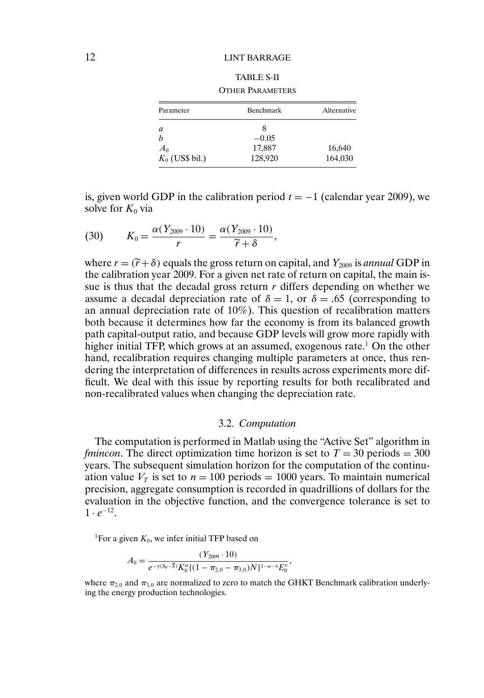<span id="page-11-0"></span>

| Parameter         | Benchmark | Alternative |  |
|-------------------|-----------|-------------|--|
| a                 | 8         |             |  |
|                   | $-0.05$   |             |  |
| $A_0$             | 17,887    | 16,640      |  |
| $K_0$ (US\$ bil.) | 128,920   | 164,030     |  |

TABLE S-II OTHER PARAMETERS

is, given world GDP in the calibration period  $t = -1$  (calendar year 2009), we solve for  $K_0$  via

(30) 
$$
K_0 = \frac{\alpha (Y_{2009} \cdot 10)}{r} = \frac{\alpha (Y_{2009} \cdot 10)}{\widetilde{r} + \delta},
$$

where  $r = (\tilde{r} + \delta)$  equals the gross return on capital, and  $Y_{2009}$  is *annual* GDP in the calibration year 2009. For a given net rate of return on capital, the main issue is thus that the decadal gross return  $r$  differs depending on whether we assume a decadal depreciation rate of  $\delta = 1$ , or  $\delta = .65$  (corresponding to an annual depreciation rate of 10%). This question of recalibration matters both because it determines how far the economy is from its balanced growth path capital-output ratio, and because GDP levels will grow more rapidly with higher initial TFP, which grows at an assumed, exogenous rate.<sup>1</sup> On the other hand, recalibration requires changing multiple parameters at once, thus rendering the interpretation of differences in results across experiments more difficult. We deal with this issue by reporting results for both recalibrated and non-recalibrated values when changing the depreciation rate.

#### 3.2. *Computation*

The computation is performed in Matlab using the "Active Set" algorithm in *fmincon*. The direct optimization time horizon is set to  $T = 30$  periods = 300 years. The subsequent simulation horizon for the computation of the continuation value  $V_T$  is set to  $n = 100$  periods = 1000 years. To maintain numerical precision, aggregate consumption is recorded in quadrillions of dollars for the evaluation in the objective function, and the convergence tolerance is set to  $1 \cdot e^{-12}$ .

<sup>1</sup>For a given  $K_0$ , we infer initial TFP based on

$$
A_0 = \frac{(Y_{2009} \cdot 10)}{e^{-\gamma(S_0 - \overline{S})} K_0^{\alpha} \{(1 - \pi_{2,0} - \pi_{3,0}) N\}^{1 - \alpha - \nu} E_0^{\nu}},
$$

where  $\pi_{2,0}$  and  $\pi_{3,0}$  are normalized to zero to match the GHKT Benchmark calibration underlying the energy production technologies.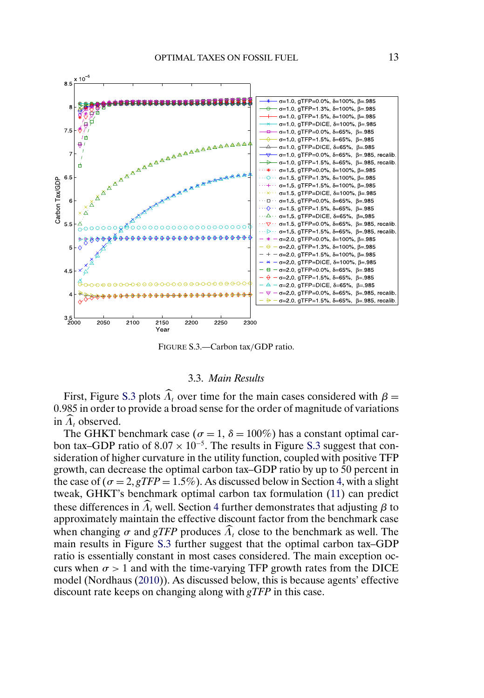<span id="page-12-0"></span>

FIGURE S.3.—Carbon tax/GDP ratio.

#### 3.3. *Main Results*

First, Figure S.3 plots  $\widehat{\Lambda}_t$  over time for the main cases considered with  $\beta =$ 0.985 in order to provide a broad sense for the order of magnitude of variations in  $\Lambda_t$  observed.

The GHKT benchmark case ( $\sigma = 1$ ,  $\delta = 100\%$ ) has a constant optimal carbon tax–GDP ratio of  $8.07 \times 10^{-5}$ . The results in Figure S.3 suggest that consideration of higher curvature in the utility function, coupled with positive TFP growth, can decrease the optimal carbon tax–GDP ratio by up to 50 percent in the case of  $(\sigma = 2, gTFP = 1.5\%)$ . As discussed below in Section [4,](#page-18-0) with a slight tweak, GHKT's benchmark optimal carbon tax formulation [\(11\)](#page-3-0) can predict these differences in  $\widehat{\Lambda}_t$  well. Section [4](#page-18-0) further demonstrates that adjusting  $\beta$  to approximately maintain the effective discount factor from the benchmark case when changing  $\sigma$  and *gTFP* produces  $\widehat{\Lambda}_t$  close to the benchmark as well. The main results in Figure S.3 further suggest that the optimal carbon tax–GDP ratio is essentially constant in most cases considered. The main exception occurs when  $\sigma > 1$  and with the time-varying TFP growth rates from the DICE model (Nordhaus [\(2010\)](#page-28-0)). As discussed below, this is because agents' effective discount rate keeps on changing along with *gTFP* in this case.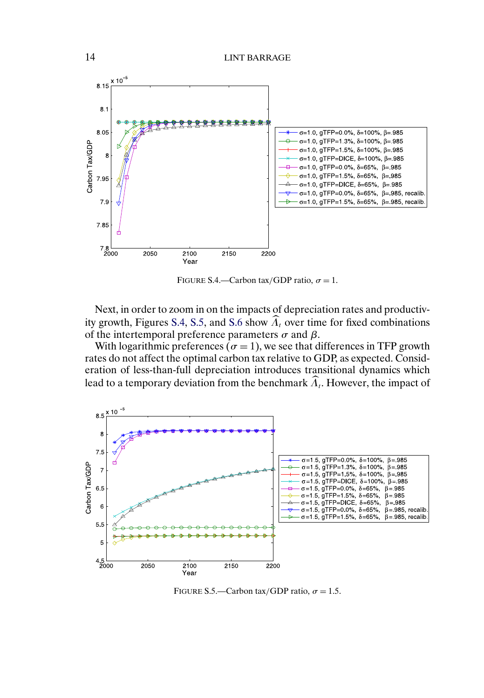

FIGURE S.4.—Carbon tax/GDP ratio,  $\sigma = 1$ .

Next, in order to zoom in on the impacts of depreciation rates and productiv-ity growth, Figures S.4, S.5, and [S.6](#page-14-0) show  $\widehat{\Lambda}_t$  over time for fixed combinations of the intertemporal preference parameters  $\sigma$  and  $\beta$ .

With logarithmic preferences ( $\sigma = 1$ ), we see that differences in TFP growth rates do not affect the optimal carbon tax relative to GDP, as expected. Consideration of less-than-full depreciation introduces transitional dynamics which lead to a temporary deviation from the benchmark  $\widehat{\Lambda}_t$ . However, the impact of



FIGURE S.5.—Carbon tax/GDP ratio,  $\sigma = 1.5$ .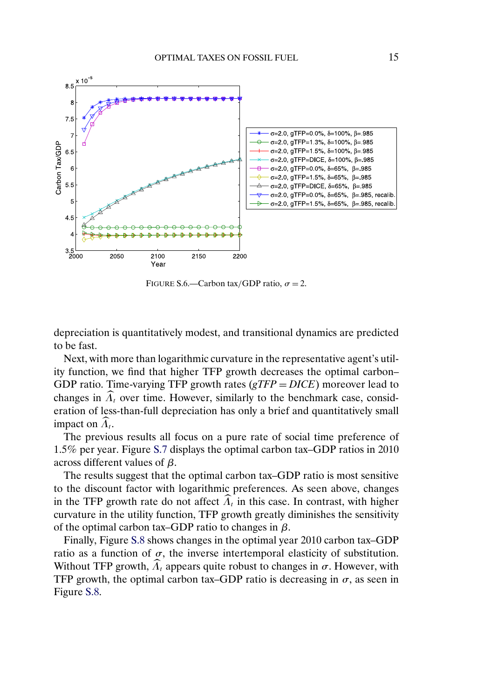<span id="page-14-0"></span>

FIGURE S.6.—Carbon tax/GDP ratio,  $\sigma = 2$ .

depreciation is quantitatively modest, and transitional dynamics are predicted to be fast.

Next, with more than logarithmic curvature in the representative agent's utility function, we find that higher TFP growth decreases the optimal carbon– GDP ratio. Time-varying TFP growth rates (*gTFP* = *DICE*) moreover lead to changes in  $\widehat{\Lambda}_t$  over time. However, similarly to the benchmark case, consideration of less-than-full depreciation has only a brief and quantitatively small impact on  $\Lambda_t$ .

The previous results all focus on a pure rate of social time preference of 15% per year. Figure [S.7](#page-15-0) displays the optimal carbon tax–GDP ratios in 2010 across different values of β.

The results suggest that the optimal carbon tax–GDP ratio is most sensitive to the discount factor with logarithmic preferences. As seen above, changes in the TFP growth rate do not affect  $\Lambda_t$  in this case. In contrast, with higher curvature in the utility function, TFP growth greatly diminishes the sensitivity of the optimal carbon tax–GDP ratio to changes in  $\beta$ .

Finally, Figure [S.8](#page-15-0) shows changes in the optimal year 2010 carbon tax–GDP ratio as a function of  $\sigma$ , the inverse intertemporal elasticity of substitution. Without TFP growth,  $\widehat{\Lambda}_t$  appears quite robust to changes in  $\sigma$ . However, with TFP growth, the optimal carbon tax–GDP ratio is decreasing in  $\sigma$ , as seen in Figure [S.8.](#page-15-0)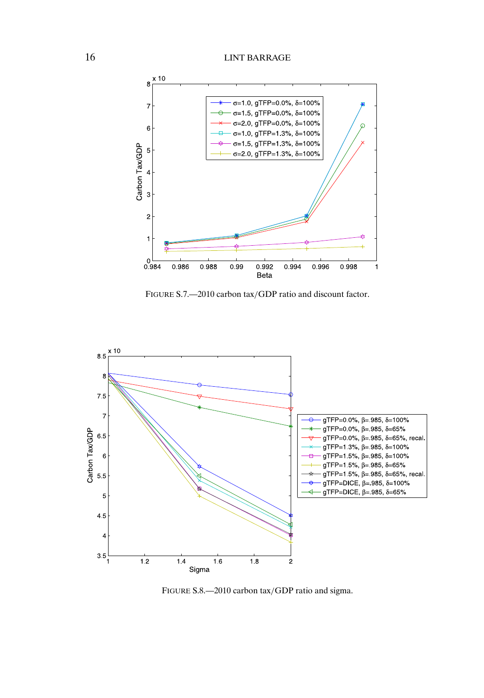<span id="page-15-0"></span>

FIGURE S.7.—2010 carbon tax/GDP ratio and discount factor.



FIGURE S.8.—2010 carbon tax/GDP ratio and sigma.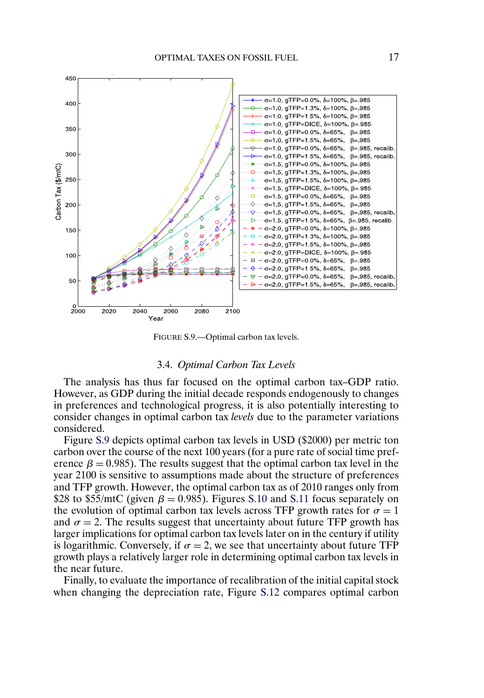

FIGURE S.9.—Optimal carbon tax levels.

### 3.4. *Optimal Carbon Tax Levels*

The analysis has thus far focused on the optimal carbon tax–GDP ratio. However, as GDP during the initial decade responds endogenously to changes in preferences and technological progress, it is also potentially interesting to consider changes in optimal carbon tax *levels* due to the parameter variations considered.

Figure S.9 depicts optimal carbon tax levels in USD (\$2000) per metric ton carbon over the course of the next 100 years (for a pure rate of social time preference  $\beta = 0.985$ . The results suggest that the optimal carbon tax level in the year 2100 is sensitive to assumptions made about the structure of preferences and TFP growth. However, the optimal carbon tax as of 2010 ranges only from \$28 to \$55/mtC (given  $\beta = 0.985$ ). Figures [S.10](#page-17-0) and [S.11](#page-17-0) focus separately on the evolution of optimal carbon tax levels across TFP growth rates for  $\sigma = 1$ and  $\sigma = 2$ . The results suggest that uncertainty about future TFP growth has larger implications for optimal carbon tax levels later on in the century if utility is logarithmic. Conversely, if  $\sigma = 2$ , we see that uncertainty about future TFP growth plays a relatively larger role in determining optimal carbon tax levels in the near future.

Finally, to evaluate the importance of recalibration of the initial capital stock when changing the depreciation rate, Figure [S.12](#page-18-0) compares optimal carbon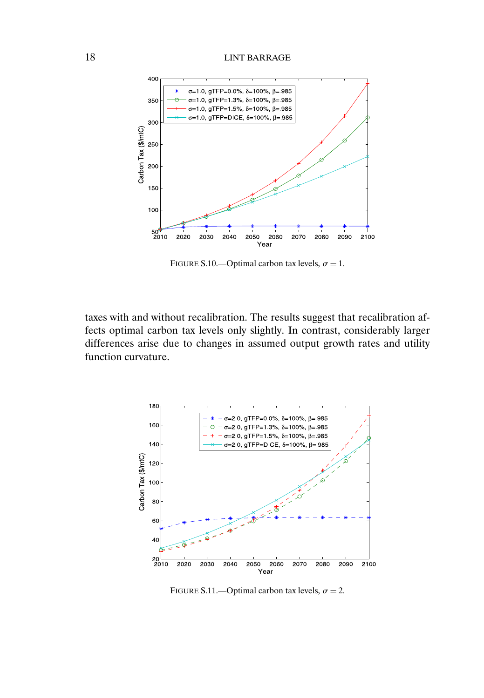<span id="page-17-0"></span>

FIGURE S.10.—Optimal carbon tax levels,  $\sigma = 1$ .

taxes with and without recalibration. The results suggest that recalibration affects optimal carbon tax levels only slightly. In contrast, considerably larger differences arise due to changes in assumed output growth rates and utility function curvature.



FIGURE S.11.—Optimal carbon tax levels,  $\sigma = 2$ .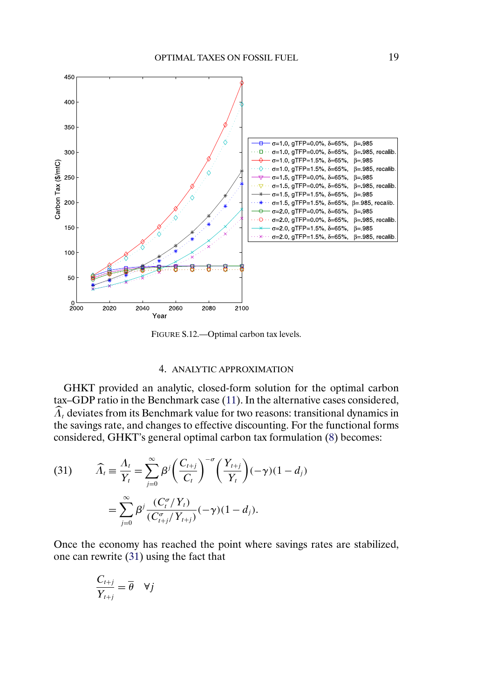<span id="page-18-0"></span>

FIGURE S.12.—Optimal carbon tax levels.

#### 4. ANALYTIC APPROXIMATION

GHKT provided an analytic, closed-form solution for the optimal carbon tax–GDP ratio in the Benchmark case [\(11\)](#page-3-0). In the alternative cases considered,  $\widehat{\Lambda}_t$  deviates from its Benchmark value for two reasons: transitional dynamics in the savings rate, and changes to effective discounting. For the functional forms considered, GHKT's general optimal carbon tax formulation [\(8\)](#page-2-0) becomes:

(31) 
$$
\widehat{\Lambda}_t = \frac{\Lambda_t}{Y_t} = \sum_{j=0}^{\infty} \beta^j \left(\frac{C_{t+j}}{C_t}\right)^{-\sigma} \left(\frac{Y_{t+j}}{Y_t}\right) (-\gamma)(1 - d_j)
$$

$$
= \sum_{j=0}^{\infty} \beta^j \frac{(C_t^{\sigma}/Y_t)}{(C_{t+j}^{\sigma}/Y_{t+j})} (-\gamma)(1 - d_j).
$$

Once the economy has reached the point where savings rates are stabilized, one can rewrite (31) using the fact that

$$
\frac{C_{t+j}}{Y_{t+j}} = \overline{\theta} \quad \forall j
$$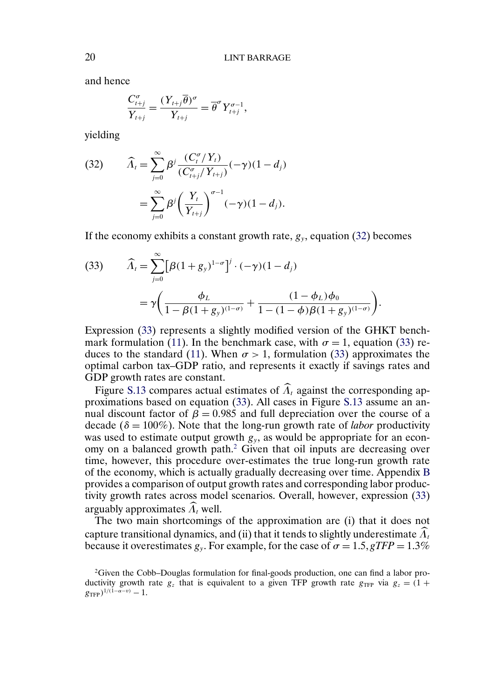and hence

$$
\frac{C_{t+j}^{\sigma}}{Y_{t+j}} = \frac{(Y_{t+j}\overline{\theta})^{\sigma}}{Y_{t+j}} = \overline{\theta}^{\sigma} Y_{t+j}^{\sigma-1},
$$

yielding

(32) 
$$
\widehat{\Lambda}_t = \sum_{j=0}^{\infty} \beta^j \frac{(C_t^{\sigma}/Y_t)}{(C_{t+j}^{\sigma}/Y_{t+j})} (-\gamma)(1 - d_j)
$$

$$
= \sum_{j=0}^{\infty} \beta^j \left(\frac{Y_t}{Y_{t+j}}\right)^{\sigma-1} (-\gamma)(1 - d_j).
$$

If the economy exhibits a constant growth rate,  $g_y$ , equation (32) becomes

(33) 
$$
\widehat{\Lambda}_t = \sum_{j=0}^{\infty} \left[ \beta (1 + g_y)^{1-\sigma} \right]^j \cdot (-\gamma)(1 - d_j)
$$

$$
= \gamma \left( \frac{\phi_L}{1 - \beta (1 + g_y)^{(1-\sigma)}} + \frac{(1 - \phi_L)\phi_0}{1 - (1 - \phi)\beta (1 + g_y)^{(1-\sigma)}} \right).
$$

Expression (33) represents a slightly modified version of the GHKT bench-mark formulation [\(11\)](#page-3-0). In the benchmark case, with  $\sigma = 1$ , equation (33) re-duces to the standard [\(11\)](#page-3-0). When  $\sigma > 1$ , formulation (33) approximates the optimal carbon tax–GDP ratio, and represents it exactly if savings rates and GDP growth rates are constant.

Figure [S.13](#page-20-0) compares actual estimates of  $\widehat{\Lambda}_t$  against the corresponding approximations based on equation (33). All cases in Figure [S.13](#page-20-0) assume an annual discount factor of  $\beta = 0.985$  and full depreciation over the course of a decade ( $\delta = 100\%$ ). Note that the long-run growth rate of *labor* productivity was used to estimate output growth  $g_y$ , as would be appropriate for an economy on a balanced growth path.2 Given that oil inputs are decreasing over time, however, this procedure over-estimates the true long-run growth rate of the economy, which is actually gradually decreasing over time. Appendix [B](#page-24-0) provides a comparison of output growth rates and corresponding labor productivity growth rates across model scenarios. Overall, however, expression (33) arguably approximates  $\widehat{\Lambda}_t$  well.

The two main shortcomings of the approximation are (i) that it does not capture transitional dynamics, and (ii) that it tends to slightly underestimate  $\Lambda_t$ because it overestimates  $g_y$ . For example, for the case of  $\sigma = 1.5$ ,  $gTFP = 1.3\%$ 

<span id="page-19-0"></span>

 $2G$ iven the Cobb–Douglas formulation for final-goods production, one can find a labor productivity growth rate  $g_z$  that is equivalent to a given TFP growth rate  $g_{TFP}$  via  $g_z = (1 +$  $g_{\text{TFP}}$ )<sup>1/(1–α–v)</sup> – 1.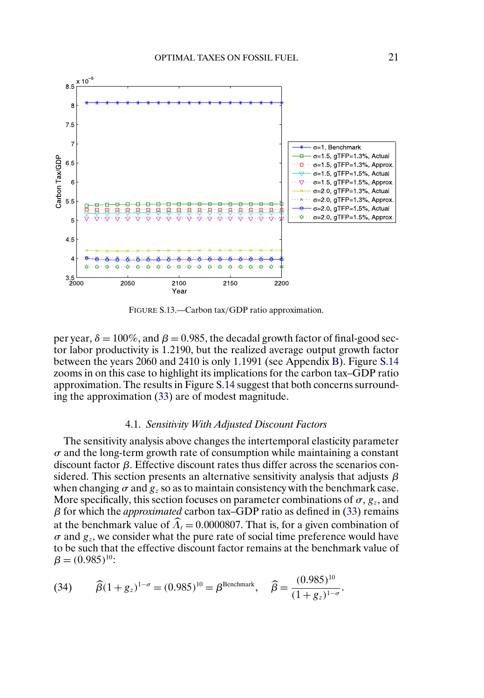<span id="page-20-0"></span>![](_page_20_Figure_1.jpeg)

FIGURE S.13.—Carbon tax/GDP ratio approximation.

per year,  $\delta = 100\%$ , and  $\beta = 0.985$ , the decadal growth factor of final-good sector labor productivity is 12190, but the realized average output growth factor between the years 2060 and 2410 is only 1.1991 (see Appendix [B\)](#page-24-0). Figure [S.14](#page-21-0) zooms in on this case to highlight its implications for the carbon tax–GDP ratio approximation. The results in Figure [S.14](#page-21-0) suggest that both concerns surrounding the approximation [\(33\)](#page-19-0) are of modest magnitude.

### 4.1. *Sensitivity With Adjusted Discount Factors*

The sensitivity analysis above changes the intertemporal elasticity parameter  $\sigma$  and the long-term growth rate of consumption while maintaining a constant discount factor β. Effective discount rates thus differ across the scenarios considered. This section presents an alternative sensitivity analysis that adjusts  $\beta$ when changing  $\sigma$  and  $g_z$  so as to maintain consistency with the benchmark case. More specifically, this section focuses on parameter combinations of  $\sigma$ ,  $g_z$ , and β for which the *approximated* carbon tax–GDP ratio as defined in [\(33\)](#page-19-0) remains at the benchmark value of  $\Lambda_t = 0.0000807$ . That is, for a given combination of  $\sigma$  and  $g_z$ , we consider what the pure rate of social time preference would have to be such that the effective discount factor remains at the benchmark value of  $\beta = (0.985)^{10}$ :

(34) 
$$
\widehat{\beta}(1+g_z)^{1-\sigma} = (0.985)^{10} = \beta^{\text{Benchmark}}, \quad \widehat{\beta} = \frac{(0.985)^{10}}{(1+g_z)^{1-\sigma}}.
$$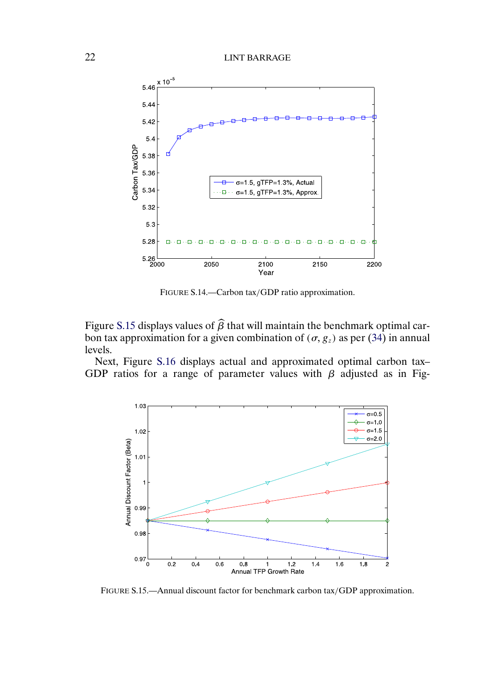<span id="page-21-0"></span>![](_page_21_Figure_1.jpeg)

FIGURE S.14.—Carbon tax/GDP ratio approximation.

Figure S.15 displays values of  $\beta$  that will maintain the benchmark optimal carbon tax approximation for a given combination of ( $\sigma$ ,  $g_z$ ) as per [\(34\)](#page-20-0) in annual levels.

Next, Figure [S.16](#page-22-0) displays actual and approximated optimal carbon tax– GDP ratios for a range of parameter values with  $\beta$  adjusted as in Fig-

![](_page_21_Figure_5.jpeg)

FIGURE S.15.—Annual discount factor for benchmark carbon tax/GDP approximation.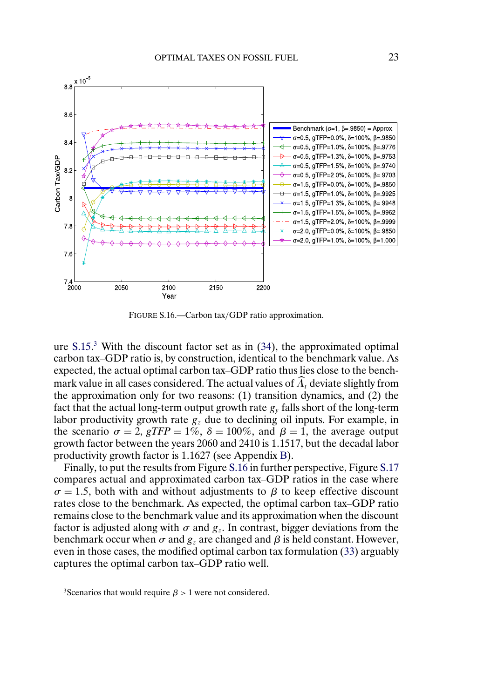<span id="page-22-0"></span>![](_page_22_Figure_1.jpeg)

FIGURE S.16.—Carbon tax/GDP ratio approximation.

ure  $S.15<sup>3</sup>$  With the discount factor set as in [\(34\)](#page-20-0), the approximated optimal carbon tax–GDP ratio is, by construction, identical to the benchmark value. As expected, the actual optimal carbon tax–GDP ratio thus lies close to the benchmark value in all cases considered. The actual values of  $\widehat{\Lambda}_t$  deviate slightly from the approximation only for two reasons: (1) transition dynamics, and (2) the fact that the actual long-term output growth rate  $g<sub>v</sub>$  falls short of the long-term labor productivity growth rate  $g<sub>z</sub>$  due to declining oil inputs. For example, in the scenario  $\sigma = 2$ ,  $gTFP = 1\%$ ,  $\delta = 100\%$ , and  $\beta = 1$ , the average output growth factor between the years 2060 and 2410 is 11517, but the decadal labor productivity growth factor is 1.1627 (see Appendix [B\)](#page-24-0).

Finally, to put the results from Figure S.16 in further perspective, Figure [S.17](#page-23-0) compares actual and approximated carbon tax–GDP ratios in the case where  $\sigma = 1.5$ , both with and without adjustments to  $\beta$  to keep effective discount rates close to the benchmark. As expected, the optimal carbon tax–GDP ratio remains close to the benchmark value and its approximation when the discount factor is adjusted along with  $\sigma$  and  $g_z$ . In contrast, bigger deviations from the benchmark occur when  $\sigma$  and  $g_z$  are changed and  $\beta$  is held constant. However, even in those cases, the modified optimal carbon tax formulation [\(33\)](#page-19-0) arguably captures the optimal carbon tax–GDP ratio well.

<sup>&</sup>lt;sup>3</sup>Scenarios that would require  $\beta > 1$  were not considered.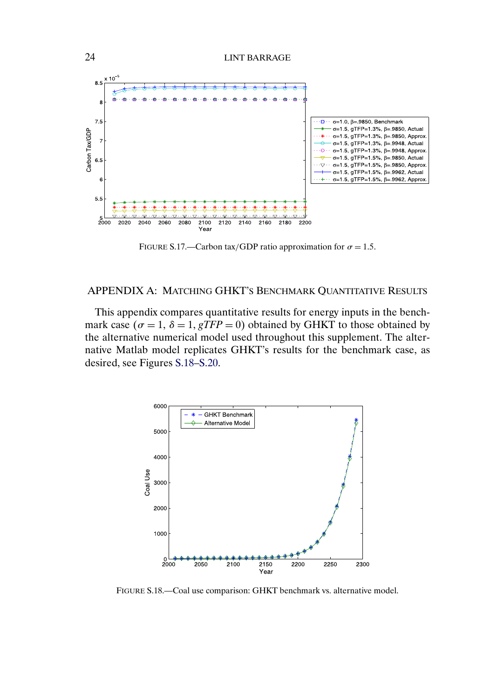<span id="page-23-0"></span>![](_page_23_Figure_1.jpeg)

FIGURE S.17.—Carbon tax/GDP ratio approximation for  $\sigma = 1.5$ .

# APPENDIX A: MATCHING GHKT'S BENCHMARK QUANTITATIVE RESULTS

This appendix compares quantitative results for energy inputs in the benchmark case ( $\sigma = 1$ ,  $\delta = 1$ ,  $gTFP = 0$ ) obtained by GHKT to those obtained by the alternative numerical model used throughout this supplement. The alternative Matlab model replicates GHKT's results for the benchmark case, as desired, see Figures S.18[–S.20.](#page-24-0)

![](_page_23_Figure_5.jpeg)

FIGURE S.18.—Coal use comparison: GHKT benchmark vs. alternative model.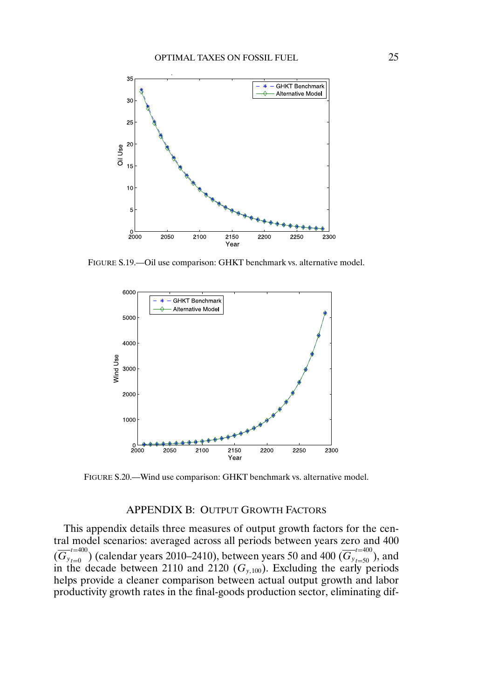<span id="page-24-0"></span>![](_page_24_Figure_1.jpeg)

FIGURE S.19.—Oil use comparison: GHKT benchmark vs. alternative model.

![](_page_24_Figure_3.jpeg)

FIGURE S.20.—Wind use comparison: GHKT benchmark vs. alternative model.

#### APPENDIX B: OUTPUT GROWTH FACTORS

This appendix details three measures of output growth factors for the central model scenarios: averaged across all periods between years zero and 400  $(\overline{G}_{y_{t=0}}^{t=400})$  (calendar years 2010–2410), between years 50 and 400  $(\overline{G}_{y_{t=50}}^{t=400})$ , and in the decade between 2110 and 2120 ( $G_{y,100}$ ). Excluding the early periods helps provide a cleaner comparison between actual output growth and labor productivity growth rates in the final-goods production sector, eliminating dif-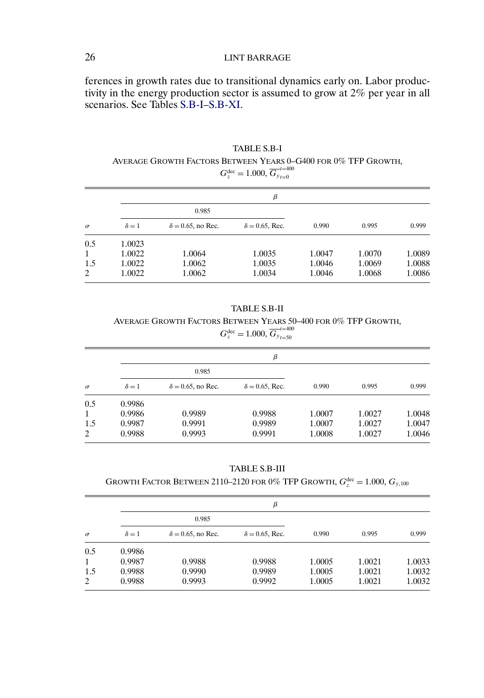### 26 LINT BARRAGE

ferences in growth rates due to transitional dynamics early on. Labor productivity in the energy production sector is assumed to grow at 2% per year in all scenarios. See Tables S.B-I[–S.B-XI.](#page-28-0)

TABLE S.B-I AVERAGE GROWTH FACTORS BETWEEN YEARS 0–G400 FOR 0% TFP GROWTH,  $G_z^{\text{dec}} = 1.000, \overline{G_{y}}_{t=0}^{t=400}$  $t=0$ 

|          | β            |                           |                        |        |        |        |  |
|----------|--------------|---------------------------|------------------------|--------|--------|--------|--|
|          | 0.985        |                           |                        |        |        |        |  |
| $\sigma$ | $\delta = 1$ | $\delta = 0.65$ , no Rec. | $\delta = 0.65$ , Rec. | 0.990  | 0.995  | 0.999  |  |
| 0.5      | 1.0023       |                           |                        |        |        |        |  |
| 1        | 1.0022       | 1.0064                    | 1.0035                 | 1.0047 | 1.0070 | 1.0089 |  |
| 1.5      | 1.0022       | 1.0062                    | 1.0035                 | 1.0046 | 1.0069 | 1.0088 |  |
| 2        | 1.0022       | 1.0062                    | 1.0034                 | 1.0046 | 1.0068 | 1.0086 |  |

TABLE S.B-II AVERAGE GROWTH FACTORS BETWEEN YEARS 50–400 FOR 0% TFP GROWTH,  $G_z^{\text{dec}} = 1.000, \overline{G_{y}}_{t=50}^{t=400}$  $t = 50$ 

|          | β            |                           |                        |        |        |        |  |
|----------|--------------|---------------------------|------------------------|--------|--------|--------|--|
|          | 0.985        |                           |                        |        |        |        |  |
| $\sigma$ | $\delta = 1$ | $\delta = 0.65$ , no Rec. | $\delta = 0.65$ , Rec. | 0.990  | 0.995  | 0.999  |  |
| 0.5      | 0.9986       |                           |                        |        |        |        |  |
| 1        | 0.9986       | 0.9989                    | 0.9988                 | 1.0007 | 1.0027 | 1.0048 |  |
| 1.5      | 0.9987       | 0.9991                    | 0.9989                 | 1.0007 | 1.0027 | 1.0047 |  |
| 2        | 0.9988       | 0.9993                    | 0.9991                 | 1.0008 | 1.0027 | 1.0046 |  |

TABLE S.B-III

### GROWTH FACTOR BETWEEN 2110–2120 FOR 0% TFP GROWTH,  $G_z^{\text{dec}} = 1.000,$   $G_{y,100}$

|          | β            |                           |                        |        |        |        |  |
|----------|--------------|---------------------------|------------------------|--------|--------|--------|--|
|          | 0.985        |                           |                        |        |        |        |  |
| $\sigma$ | $\delta = 1$ | $\delta = 0.65$ , no Rec. | $\delta = 0.65$ , Rec. | 0.990  | 0.995  | 0.999  |  |
| 0.5      | 0.9986       |                           |                        |        |        |        |  |
| 1        | 0.9987       | 0.9988                    | 0.9988                 | 1.0005 | 1.0021 | 1.0033 |  |
| 1.5      | 0.9988       | 0.9990                    | 0.9989                 | 1.0005 | 1.0021 | 1.0032 |  |
| 2        | 0.9988       | 0.9993                    | 0.9992                 | 1.0005 | 1.0021 | 1.0032 |  |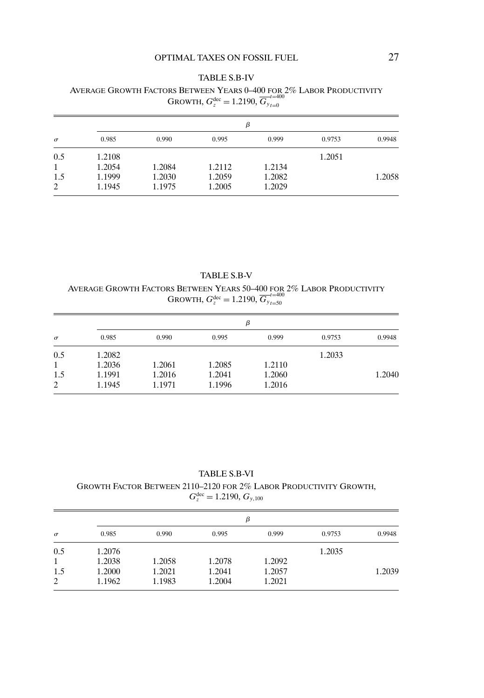#### TABLE S.B-IV

#### AVERAGE GROWTH FACTORS BETWEEN YEARS 0–400 FOR 2% LABOR PRODUCTIVITY GROWTH,  $G_z^{\text{dec}} = 1.2190, \overline{G_{y}}_{t=0}^{t=400}$  $t=0$

| $\sigma$ | β      |        |        |        |        |        |  |
|----------|--------|--------|--------|--------|--------|--------|--|
|          | 0.985  | 0.990  | 0.995  | 0.999  | 0.9753 | 0.9948 |  |
| 0.5      | 1.2108 |        |        |        | 1.2051 |        |  |
| 1        | 1.2054 | 1.2084 | 1.2112 | 1.2134 |        |        |  |
| 1.5      | 1.1999 | 1.2030 | 1.2059 | 1.2082 |        | 1.2058 |  |
| 2        | 1.1945 | 1.1975 | 1.2005 | 1.2029 |        |        |  |

TABLE S.B-V AVERAGE GROWTH FACTORS BETWEEN YEARS 50–400 FOR 2% LABOR PRODUCTIVITY GROWTH,  $G_z^{\text{dec}} = 1.2190, \overline{G_{y}}_{t=50}^{t=400}$  $t = 50$ 

| $\sigma$ | β      |        |        |        |        |        |  |
|----------|--------|--------|--------|--------|--------|--------|--|
|          | 0.985  | 0.990  | 0.995  | 0.999  | 0.9753 | 0.9948 |  |
| 0.5      | 1.2082 |        |        |        | 1.2033 |        |  |
| 1        | 1.2036 | 1.2061 | 1.2085 | 1.2110 |        |        |  |
| 1.5      | 1.1991 | 1.2016 | 1.2041 | 1.2060 |        | 1.2040 |  |
| 2        | 1.1945 | 1.1971 | 1.1996 | 1.2016 |        |        |  |

TABLE S.B-VI

GROWTH FACTOR BETWEEN 2110–2120 FOR 2% LABOR PRODUCTIVITY GROWTH,  $G_z^{\text{dec}} = 1.2190, G_{y,100}$ 

| $\sigma$ | β      |        |        |        |        |        |  |
|----------|--------|--------|--------|--------|--------|--------|--|
|          | 0.985  | 0.990  | 0.995  | 0.999  | 0.9753 | 0.9948 |  |
| 0.5      | 1.2076 |        |        |        | 1.2035 |        |  |
| 1        | 1.2038 | 1.2058 | 1.2078 | 1.2092 |        |        |  |
| 1.5      | 1.2000 | 1.2021 | 1.2041 | 1.2057 |        | 1.2039 |  |
| 2        | 1.1962 | 1.1983 | 1.2004 | 1.2021 |        |        |  |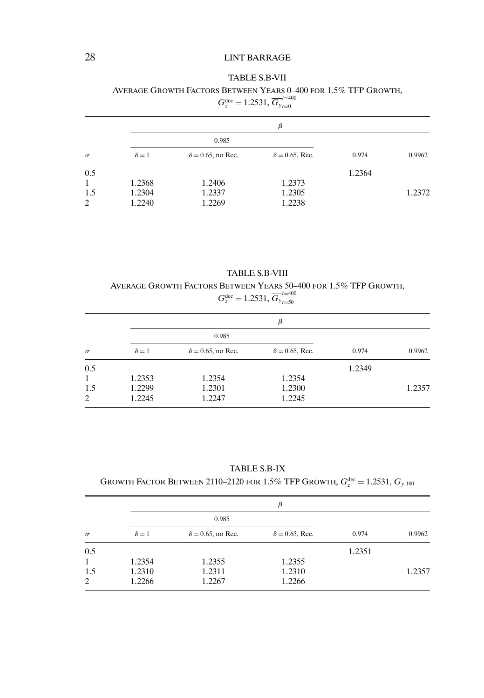# 28 LINT BARRAGE

#### TABLE S.B-VII

AVERAGE GROWTH FACTORS BETWEEN YEARS 0–400 FOR 15% TFP GROWTH,  $G_z^{\text{dec}} = 1.2531, \overline{G_{y}}_{t=0}^{t=400}$ 

|          | β            |                           |                        |        |        |  |  |
|----------|--------------|---------------------------|------------------------|--------|--------|--|--|
|          |              | 0.985                     |                        |        |        |  |  |
| $\sigma$ | $\delta = 1$ | $\delta = 0.65$ , no Rec. | $\delta = 0.65$ , Rec. | 0.974  | 0.9962 |  |  |
| 0.5      |              |                           |                        | 1.2364 |        |  |  |
| 1        | 1.2368       | 1.2406                    | 1.2373                 |        |        |  |  |
| 1.5      | 1.2304       | 1.2337                    | 1.2305                 |        | 1.2372 |  |  |
| 2        | 1.2240       | 1.2269                    | 1.2238                 |        |        |  |  |

 $t=0$ 

TABLE S.B-VIII AVERAGE GROWTH FACTORS BETWEEN YEARS 50–400 FOR 15% TFP GROWTH,  $G_z^{\text{dec}} = 1.2531, \overline{G_{y}}_{t=50}^{t=400}$  $t = 50$ 

|              | β            |                           |                        |        |        |  |
|--------------|--------------|---------------------------|------------------------|--------|--------|--|
|              |              | 0.985                     |                        |        |        |  |
| $\sigma$     | $\delta = 1$ | $\delta = 0.65$ , no Rec. | $\delta = 0.65$ , Rec. | 0.974  | 0.9962 |  |
| 0.5          |              |                           |                        | 1.2349 |        |  |
| $\mathbf{1}$ | 1.2353       | 1.2354                    | 1.2354                 |        |        |  |
| 1.5          | 1.2299       | 1.2301                    | 1.2300                 |        | 1.2357 |  |
| 2            | 1.2245       | 1.2247                    | 1.2245                 |        |        |  |

TABLE S.B-IX

### GROWTH FACTOR BETWEEN 2110–2120 for 1.5% TFP GROWTH,  $G_z^{\rm dec}$  = 1.2531,  $G_{y,100}$

|              |              | β                         |                        |        |        |  |  |  |
|--------------|--------------|---------------------------|------------------------|--------|--------|--|--|--|
|              |              | 0.985                     |                        |        |        |  |  |  |
| $\sigma$     | $\delta = 1$ | $\delta = 0.65$ , no Rec. | $\delta = 0.65$ , Rec. | 0.974  | 0.9962 |  |  |  |
| 0.5          |              |                           |                        | 1.2351 |        |  |  |  |
| $\mathbf{1}$ | 1.2354       | 1.2355                    | 1.2355                 |        |        |  |  |  |
| 1.5          | 1.2310       | 1.2311                    | 1.2310                 |        | 1.2357 |  |  |  |
| 2            | 1.2266       | 1.2267                    | 1.2266                 |        |        |  |  |  |